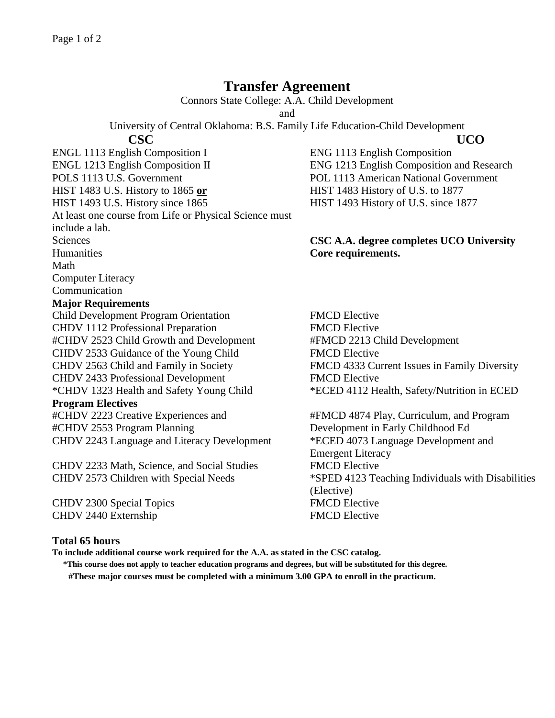## **Transfer Agreement**

Connors State College: A.A. Child Development

and

University of Central Oklahoma: B.S. Family Life Education-Child Development

 **CSC UCO** ENGL 1113 English Composition I ENG 1113 English Composition ENGL 1213 English Composition II ENG 1213 English Composition and Research POLS 1113 U.S. Government POL 1113 American National Government HIST 1483 U.S. History to 1865 **or** HIST 1483 History of U.S. to 1877 HIST 1493 U.S. History since 1865 HIST 1493 History of U.S. since 1877 At least one course from Life or Physical Science must include a lab. Sciences **CSC A.A. degree completes UCO University**  Humanities **Core requirements.** Math Computer Literacy Communication **Major Requirements**

Child Development Program Orientation FMCD Elective CHDV 1112 Professional Preparation FMCD Elective #CHDV 2523 Child Growth and Development #FMCD 2213 Child Development CHDV 2533 Guidance of the Young Child FMCD Elective CHDV 2563 Child and Family in Society FMCD 4333 Current Issues in Family Diversity CHDV 2433 Professional Development FMCD Elective \*CHDV 1323 Health and Safety Young Child \*ECED 4112 Health, Safety/Nutrition in ECED **Program Electives** #CHDV 2223 Creative Experiences and #CHDV 2553 Program Planning

CHDV 2233 Math, Science, and Social Studies FMCD Elective

CHDV 2300 Special Topics FMCD Elective CHDV 2440 Externship FMCD Elective

#FMCD 4874 Play, Curriculum, and Program Development in Early Childhood Ed CHDV 2243 Language and Literacy Development \*ECED 4073 Language Development and Emergent Literacy CHDV 2573 Children with Special Needs \*SPED 4123 Teaching Individuals with Disabilities (Elective)

## **Total 65 hours**

**To include additional course work required for the A.A. as stated in the CSC catalog.**

**\*This course does not apply to teacher education programs and degrees, but will be substituted for this degree. #These major courses must be completed with a minimum 3.00 GPA to enroll in the practicum.**